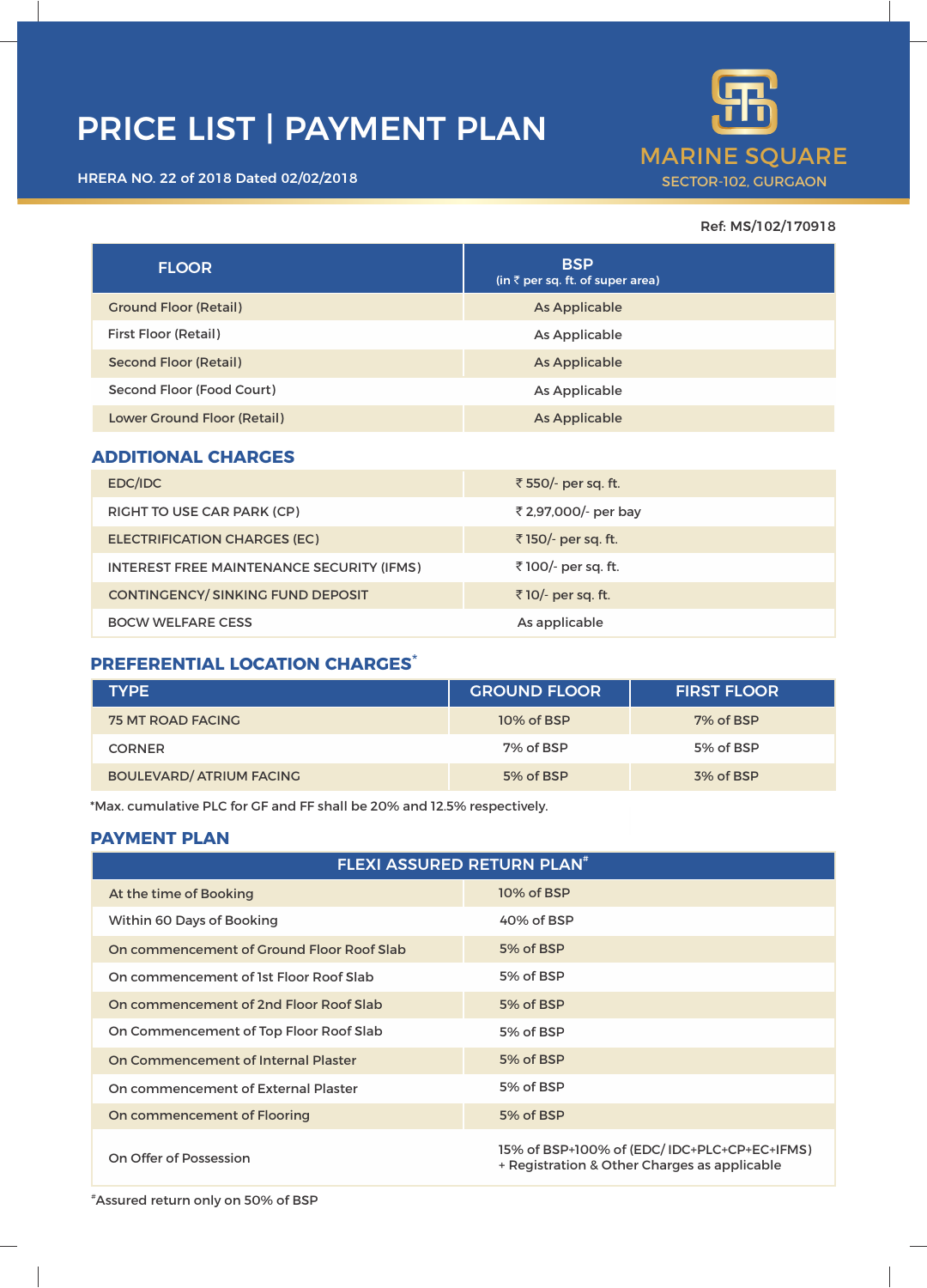# PRICE LIST | PAYMENT PLAN





### Ref: MS/102/170918

| <b>FLOOR</b>                                     | <b>BSP</b><br>(in $\bar{\tau}$ per sq. ft. of super area) |
|--------------------------------------------------|-----------------------------------------------------------|
| <b>Ground Floor (Retail)</b>                     | <b>As Applicable</b>                                      |
| First Floor (Retail)                             | As Applicable                                             |
| <b>Second Floor (Retail)</b>                     | <b>As Applicable</b>                                      |
| Second Floor (Food Court)                        | As Applicable                                             |
| Lower Ground Floor (Retail)                      | As Applicable                                             |
| <b>ADDITIONAL CHARGES</b>                        |                                                           |
| EDC/IDC                                          | ₹ 550/- per sq. ft.                                       |
| RIGHT TO USE CAR PARK (CP)                       | ₹ 2,97,000/- per bay                                      |
| <b>ELECTRIFICATION CHARGES (EC)</b>              | ₹150/- per sq. ft.                                        |
| <b>INTEREST FREE MAINTENANCE SECURITY (IFMS)</b> | ₹100/- per sq. ft.                                        |
| <b>CONTINGENCY/SINKING FUND DEPOSIT</b>          | ₹10/- per sq. ft.                                         |
| <b>BOCW WELFARE CESS</b>                         | As applicable                                             |

## **PREFERENTIAL LOCATION CHARGES**\*

| <b>TYPE</b>                     | <b>GROUND FLOOR</b> | <b>FIRST FLOOR</b> |
|---------------------------------|---------------------|--------------------|
| <b>75 MT ROAD FACING</b>        | 10% of BSP          | 7% of BSP          |
| <b>CORNER</b>                   | 7% of BSP           | 5% of BSP          |
| <b>BOULEVARD/ ATRIUM FACING</b> | 5% of BSP           | 3% of BSP          |

\*Max. cumulative PLC for GF and FF shall be 20% and 12.5% respectively.

# **PAYMENT PLAN**

| <b>FLEXI ASSURED RETURN PLAN<sup>#</sup></b> |                                                                                             |  |
|----------------------------------------------|---------------------------------------------------------------------------------------------|--|
| At the time of Booking                       | 10% of BSP                                                                                  |  |
| Within 60 Days of Booking                    | 40% of BSP                                                                                  |  |
| On commencement of Ground Floor Roof Slab    | 5% of BSP                                                                                   |  |
| On commencement of 1st Floor Roof Slab       | 5% of BSP                                                                                   |  |
| On commencement of 2nd Floor Roof Slab       | 5% of BSP                                                                                   |  |
| On Commencement of Top Floor Roof Slab       | 5% of BSP                                                                                   |  |
| On Commencement of Internal Plaster          | 5% of BSP                                                                                   |  |
| On commencement of External Plaster          | 5% of BSP                                                                                   |  |
| On commencement of Flooring                  | 5% of BSP                                                                                   |  |
| On Offer of Possession                       | 15% of BSP+100% of (EDC/IDC+PLC+CP+EC+IFMS)<br>+ Registration & Other Charges as applicable |  |

#Assured return only on 50% of BSP